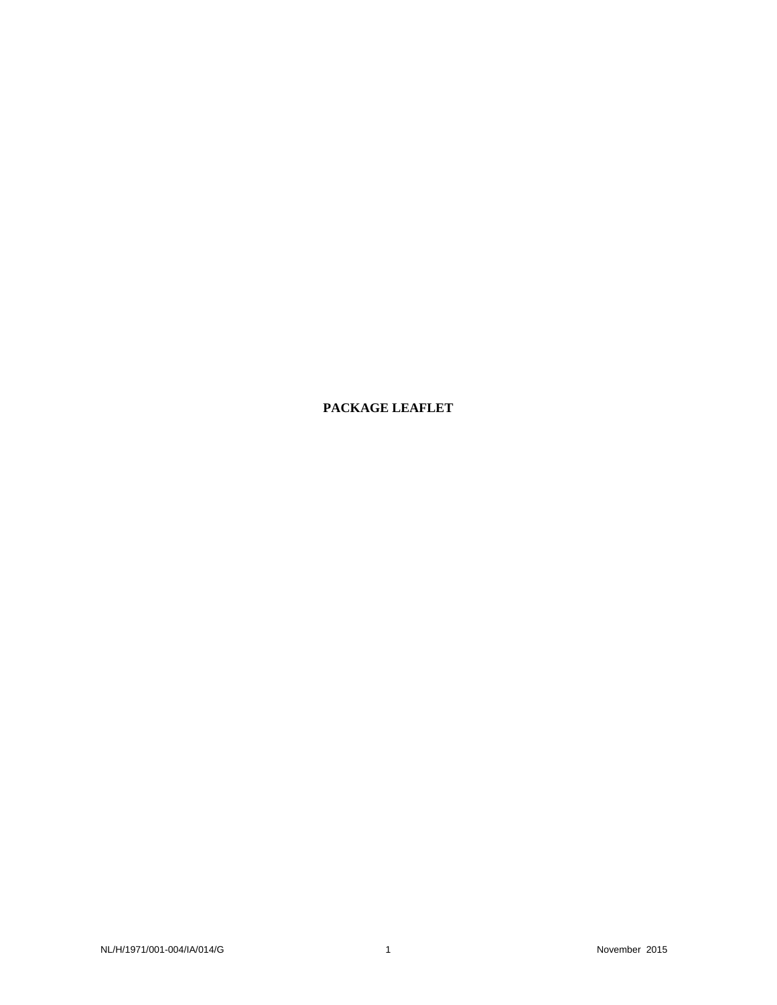**PACKAGE LEAFLET**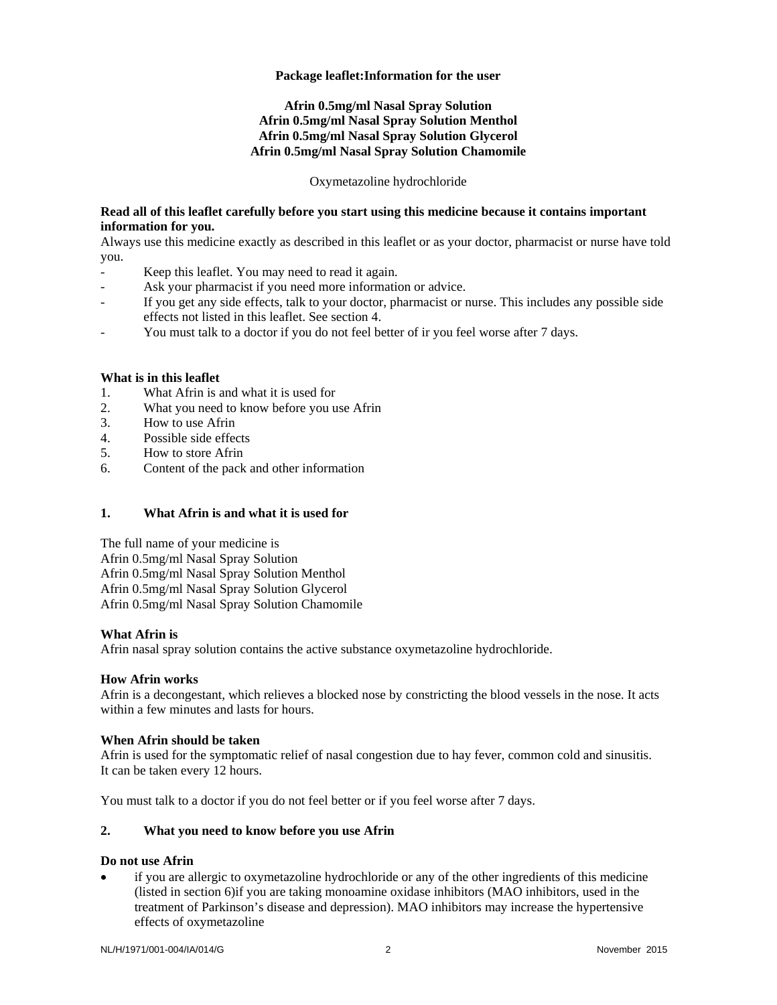#### **Package leaflet:Information for the user**

# **Afrin 0.5mg/ml Nasal Spray Solution Afrin 0.5mg/ml Nasal Spray Solution Menthol Afrin 0.5mg/ml Nasal Spray Solution Glycerol Afrin 0.5mg/ml Nasal Spray Solution Chamomile**

Oxymetazoline hydrochloride

# **Read all of this leaflet carefully before you start using this medicine because it contains important information for you.**

Always use this medicine exactly as described in this leaflet or as your doctor, pharmacist or nurse have told you.

- Keep this leaflet. You may need to read it again.
- Ask your pharmacist if you need more information or advice.
- If you get any side effects, talk to your doctor, pharmacist or nurse. This includes any possible side effects not listed in this leaflet. See section 4.
- You must talk to a doctor if you do not feel better of ir you feel worse after 7 days.

# **What is in this leaflet**

- 1. What Afrin is and what it is used for
- 2. What you need to know before you use Afrin
- 3. How to use Afrin
- 4. Possible side effects
- 5. How to store Afrin
- 6. Content of the pack and other information

## **1. What Afrin is and what it is used for**

The full name of your medicine is Afrin 0.5mg/ml Nasal Spray Solution Afrin 0.5mg/ml Nasal Spray Solution Menthol Afrin 0.5mg/ml Nasal Spray Solution Glycerol Afrin 0.5mg/ml Nasal Spray Solution Chamomile

## **What Afrin is**

Afrin nasal spray solution contains the active substance oxymetazoline hydrochloride.

## **How Afrin works**

Afrin is a decongestant, which relieves a blocked nose by constricting the blood vessels in the nose. It acts within a few minutes and lasts for hours.

## **When Afrin should be taken**

Afrin is used for the symptomatic relief of nasal congestion due to hay fever, common cold and sinusitis. It can be taken every 12 hours.

You must talk to a doctor if you do not feel better or if you feel worse after 7 days.

# **2. What you need to know before you use Afrin**

#### **Do not use Afrin**

 if you are allergic to oxymetazoline hydrochloride or any of the other ingredients of this medicine (listed in section 6)if you are taking monoamine oxidase inhibitors (MAO inhibitors, used in the treatment of Parkinson's disease and depression). MAO inhibitors may increase the hypertensive effects of oxymetazoline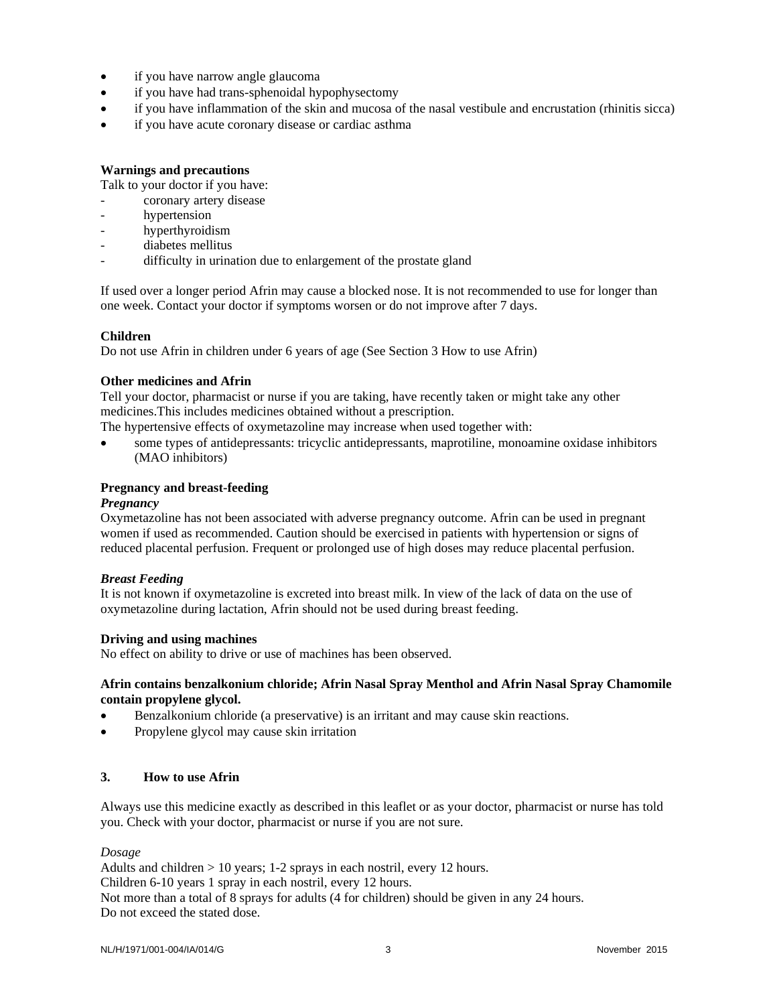- if you have narrow angle glaucoma
- if you have had trans-sphenoidal hypophysectomy
- if you have inflammation of the skin and mucosa of the nasal vestibule and encrustation (rhinitis sicca)
- if you have acute coronary disease or cardiac asthma

# **Warnings and precautions**

Talk to your doctor if you have:

- coronary artery disease
- hypertension
- hyperthyroidism
- diabetes mellitus
- difficulty in urination due to enlargement of the prostate gland

If used over a longer period Afrin may cause a blocked nose. It is not recommended to use for longer than one week. Contact your doctor if symptoms worsen or do not improve after 7 days.

# **Children**

Do not use Afrin in children under 6 years of age (See Section 3 How to use Afrin)

## **Other medicines and Afrin**

Tell your doctor, pharmacist or nurse if you are taking, have recently taken or might take any other medicines.This includes medicines obtained without a prescription.

The hypertensive effects of oxymetazoline may increase when used together with:

 some types of antidepressants: tricyclic antidepressants, maprotiline, monoamine oxidase inhibitors (MAO inhibitors)

# **Pregnancy and breast-feeding**

## *Pregnancy*

Oxymetazoline has not been associated with adverse pregnancy outcome. Afrin can be used in pregnant women if used as recommended. Caution should be exercised in patients with hypertension or signs of reduced placental perfusion. Frequent or prolonged use of high doses may reduce placental perfusion.

## *Breast Feeding*

It is not known if oxymetazoline is excreted into breast milk. In view of the lack of data on the use of oxymetazoline during lactation, Afrin should not be used during breast feeding.

## **Driving and using machines**

No effect on ability to drive or use of machines has been observed.

## **Afrin contains benzalkonium chloride; Afrin Nasal Spray Menthol and Afrin Nasal Spray Chamomile contain propylene glycol.**

- Benzalkonium chloride (a preservative) is an irritant and may cause skin reactions.
- Propylene glycol may cause skin irritation

## **3. How to use Afrin**

Always use this medicine exactly as described in this leaflet or as your doctor, pharmacist or nurse has told you. Check with your doctor, pharmacist or nurse if you are not sure.

## *Dosage*

Adults and children > 10 years; 1-2 sprays in each nostril, every 12 hours. Children 6-10 years 1 spray in each nostril, every 12 hours. Not more than a total of 8 sprays for adults (4 for children) should be given in any 24 hours. Do not exceed the stated dose.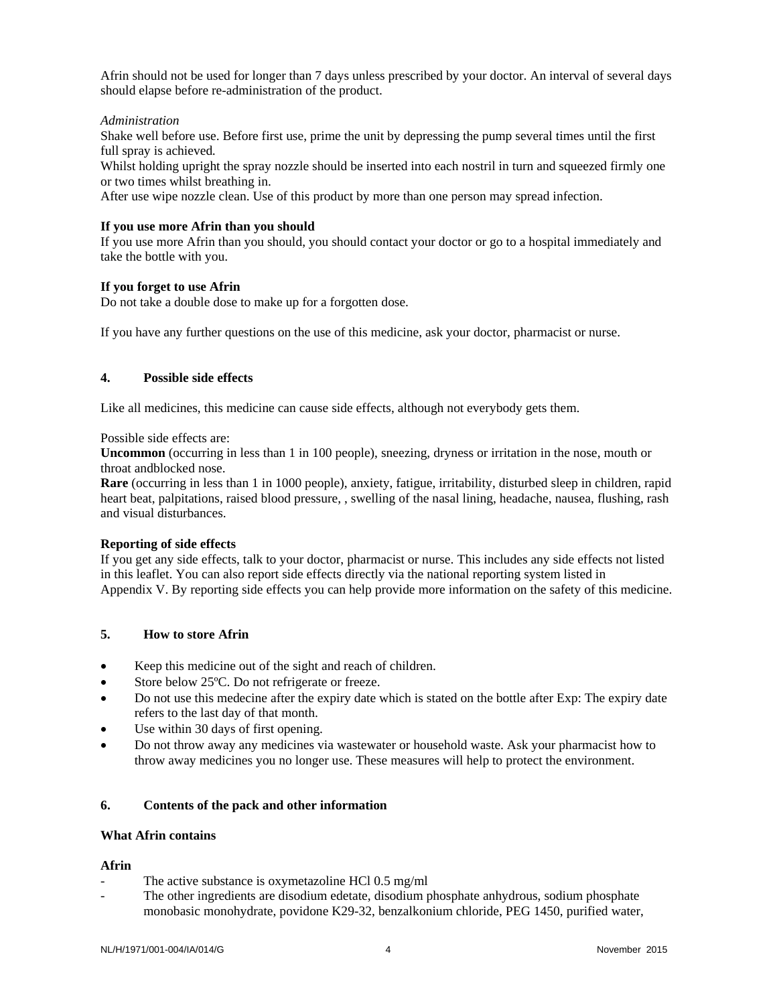Afrin should not be used for longer than 7 days unless prescribed by your doctor. An interval of several days should elapse before re-administration of the product.

#### *Administration*

Shake well before use. Before first use, prime the unit by depressing the pump several times until the first full spray is achieved*.* 

Whilst holding upright the spray nozzle should be inserted into each nostril in turn and squeezed firmly one or two times whilst breathing in.

After use wipe nozzle clean. Use of this product by more than one person may spread infection.

#### **If you use more Afrin than you should**

If you use more Afrin than you should, you should contact your doctor or go to a hospital immediately and take the bottle with you.

#### **If you forget to use Afrin**

Do not take a double dose to make up for a forgotten dose.

If you have any further questions on the use of this medicine, ask your doctor, pharmacist or nurse.

# **4. Possible side effects**

Like all medicines, this medicine can cause side effects, although not everybody gets them.

Possible side effects are:

**Uncommon** (occurring in less than 1 in 100 people), sneezing, dryness or irritation in the nose, mouth or throat andblocked nose.

**Rare** (occurring in less than 1 in 1000 people), anxiety, fatigue, irritability, disturbed sleep in children, rapid heart beat, palpitations, raised blood pressure, , swelling of the nasal lining, headache, nausea, flushing, rash and visual disturbances.

## **Reporting of side effects**

If you get any side effects, talk to your doctor, pharmacist or nurse. This includes any side effects not listed in this leaflet. You can also report side effects directly via the national reporting system listed in Appendix V. By reporting side effects you can help provide more information on the safety of this medicine.

# **5. How to store Afrin**

- Keep this medicine out of the sight and reach of children.
- Store below 25ºC. Do not refrigerate or freeze.
- Do not use this medecine after the expiry date which is stated on the bottle after Exp: The expiry date refers to the last day of that month.
- Use within 30 days of first opening.
- Do not throw away any medicines via wastewater or household waste. Ask your pharmacist how to throw away medicines you no longer use. These measures will help to protect the environment.

## **6. Contents of the pack and other information**

#### **What Afrin contains**

#### **Afrin**

- The active substance is oxymetazoline HCl 0.5 mg/ml
- The other ingredients are disodium edetate, disodium phosphate anhydrous, sodium phosphate monobasic monohydrate, povidone K29-32, benzalkonium chloride, PEG 1450, purified water,